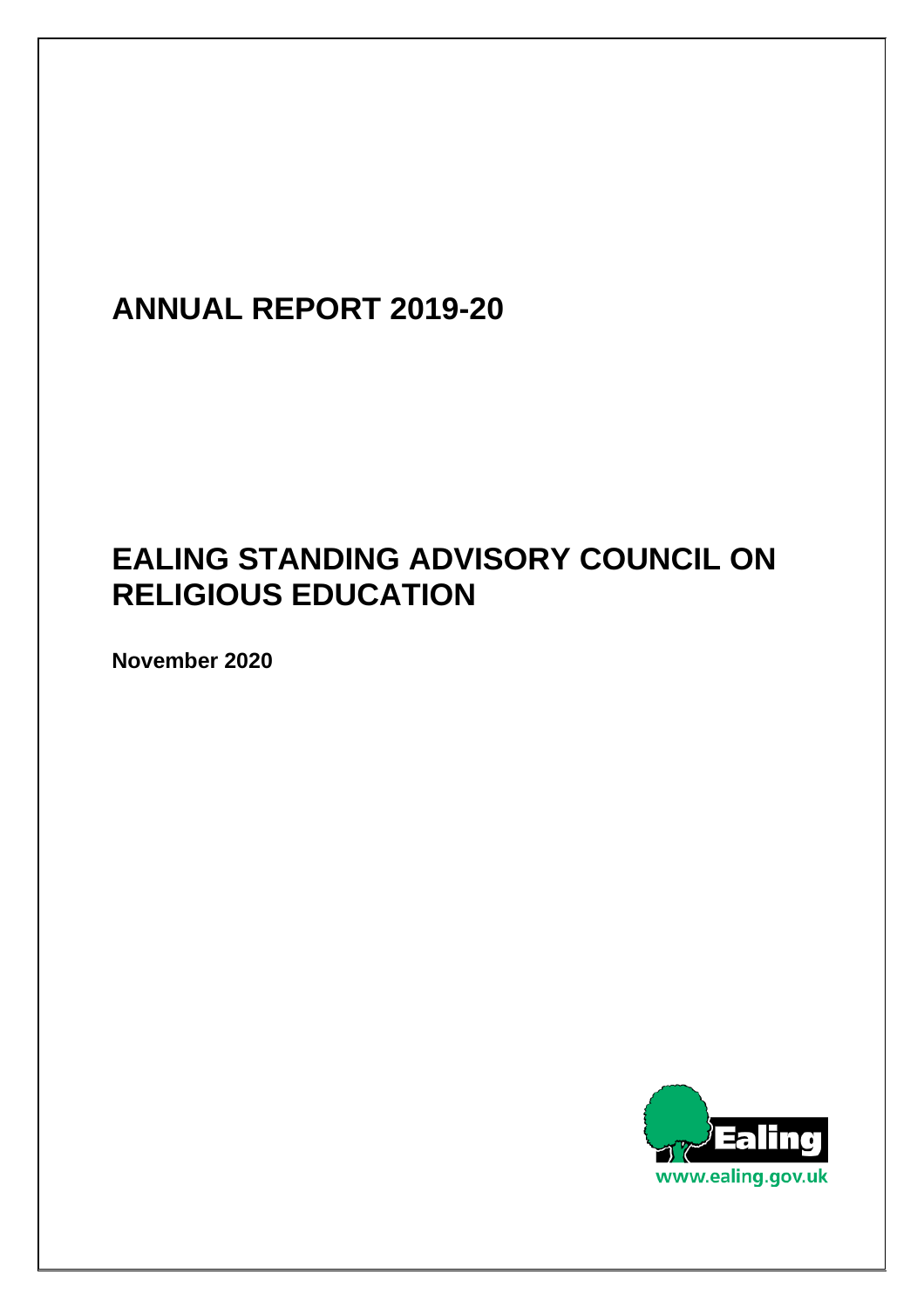# **ANNUAL REPORT 2019-20**

# **EALING STANDING ADVISORY COUNCIL ON RELIGIOUS EDUCATION**

**November 2020** 

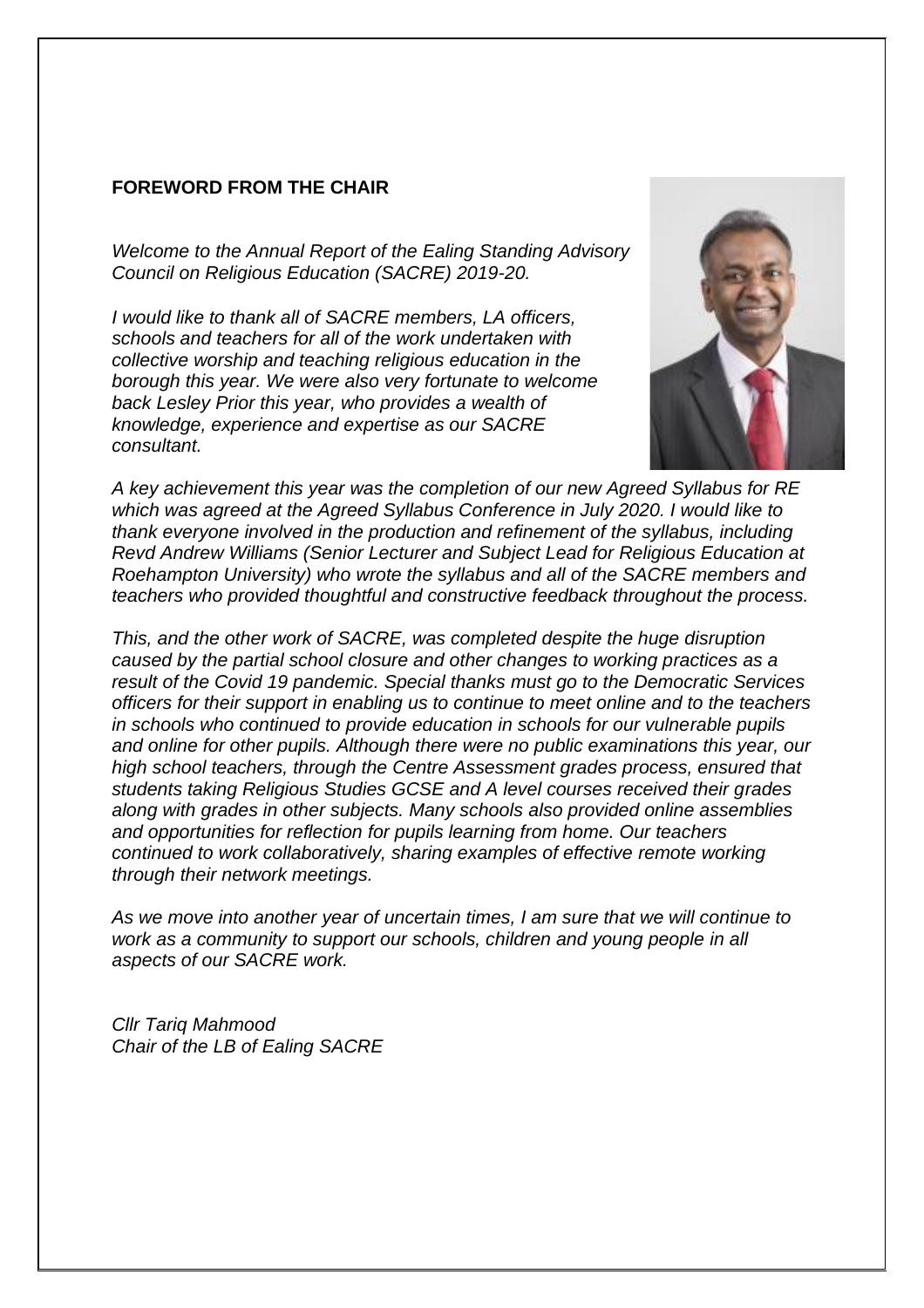#### **FOREWORD FROM THE CHAIR**

*Welcome to the Annual Report of the Ealing Standing Advisory Council on Religious Education (SACRE) 2019-20.* 

*I would like to thank all of SACRE members, LA officers, schools and teachers for all of the work undertaken with collective worship and teaching religious education in the borough this year. We were also very fortunate to welcome back Lesley Prior this year, who provides a wealth of knowledge, experience and expertise as our SACRE consultant.* 



*A key achievement this year was the completion of our new Agreed Syllabus for RE which was agreed at the Agreed Syllabus Conference in July 2020. I would like to thank everyone involved in the production and refinement of the syllabus, including Revd Andrew Williams (Senior Lecturer and Subject Lead for Religious Education at Roehampton University) who wrote the syllabus and all of the SACRE members and teachers who provided thoughtful and constructive feedback throughout the process.* 

*This, and the other work of SACRE, was completed despite the huge disruption caused by the partial school closure and other changes to working practices as a result of the Covid 19 pandemic. Special thanks must go to the Democratic Services officers for their support in enabling us to continue to meet online and to the teachers in schools who continued to provide education in schools for our vulnerable pupils and online for other pupils. Although there were no public examinations this year, our high school teachers, through the Centre Assessment grades process, ensured that students taking Religious Studies GCSE and A level courses received their grades along with grades in other subjects. Many schools also provided online assemblies and opportunities for reflection for pupils learning from home. Our teachers continued to work collaboratively, sharing examples of effective remote working through their network meetings.* 

*As we move into another year of uncertain times, I am sure that we will continue to work as a community to support our schools, children and young people in all aspects of our SACRE work.* 

*Cllr Tariq Mahmood Chair of the LB of Ealing SACRE*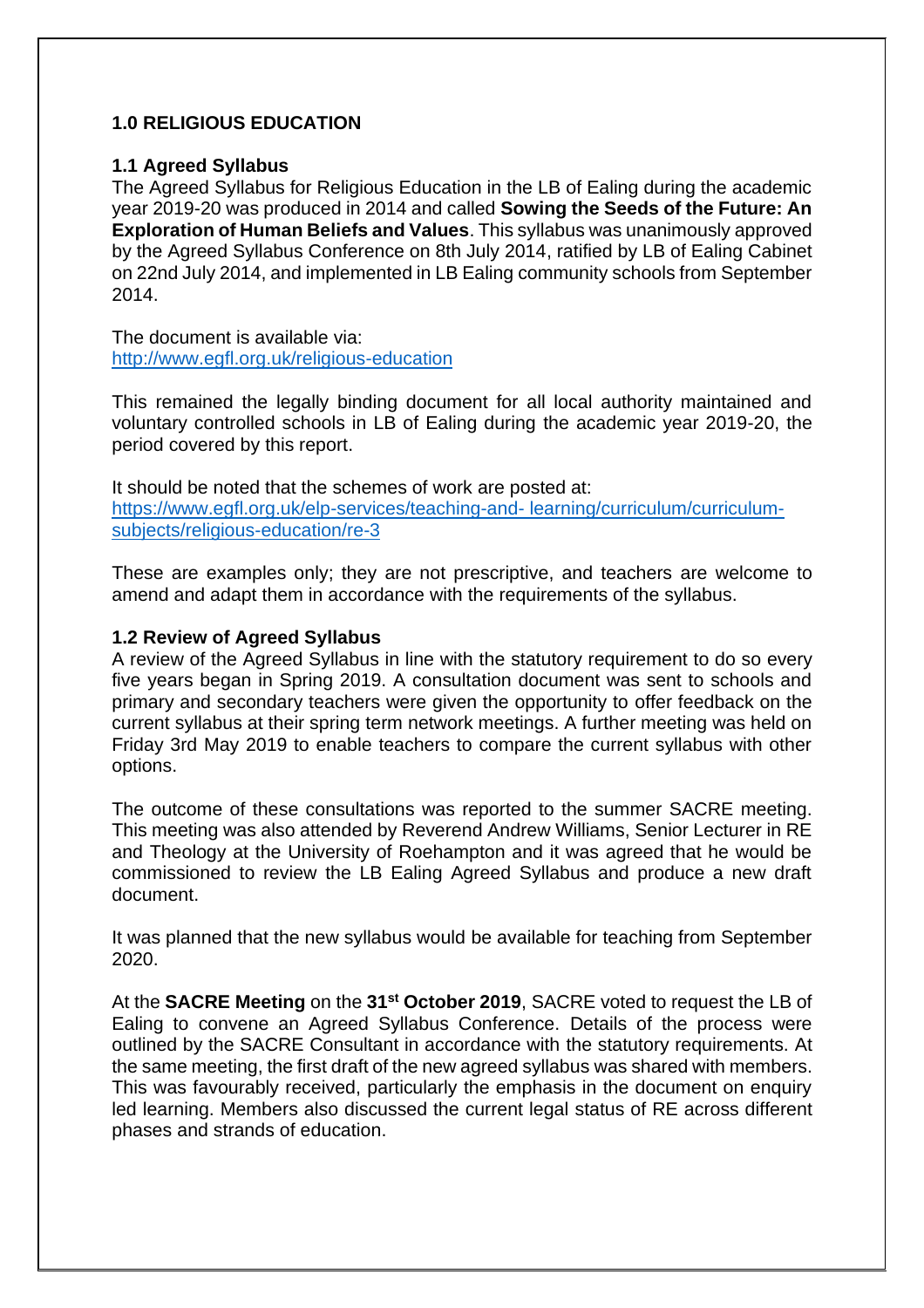#### **1.0 RELIGIOUS EDUCATION**

#### **1.1 Agreed Syllabus**

The Agreed Syllabus for Religious Education in the LB of Ealing during the academic year 2019-20 was produced in 2014 and called **Sowing the Seeds of the Future: An Exploration of Human Beliefs and Values**. This syllabus was unanimously approved by the Agreed Syllabus Conference on 8th July 2014, ratified by LB of Ealing Cabinet on 22nd July 2014, and implemented in LB Ealing community schools from September 2014.

The document is available via: <http://www.egfl.org.uk/religious-education>

This remained the legally binding document for all local authority maintained and voluntary controlled schools in LB of Ealing during the academic year 2019-20, the period covered by this report.

It should be noted that the schemes of work are posted at: [https://www.egfl.org.uk/elp-services/teaching-and-](https://www.egfl.org.uk/elp-services/teaching-and-%20learning/curriculum/curriculum-subjects/religious-education/re-3) learning/curriculum/curriculum[subjects/religious-education/re-3](https://www.egfl.org.uk/elp-services/teaching-and-%20learning/curriculum/curriculum-subjects/religious-education/re-3)

These are examples only; they are not prescriptive, and teachers are welcome to amend and adapt them in accordance with the requirements of the syllabus.

#### **1.2 Review of Agreed Syllabus**

A review of the Agreed Syllabus in line with the statutory requirement to do so every five years began in Spring 2019. A consultation document was sent to schools and primary and secondary teachers were given the opportunity to offer feedback on the current syllabus at their spring term network meetings. A further meeting was held on Friday 3rd May 2019 to enable teachers to compare the current syllabus with other options.

The outcome of these consultations was reported to the summer SACRE meeting. This meeting was also attended by Reverend Andrew Williams, Senior Lecturer in RE and Theology at the University of Roehampton and it was agreed that he would be commissioned to review the LB Ealing Agreed Syllabus and produce a new draft document.

It was planned that the new syllabus would be available for teaching from September 2020.

At the **SACRE Meeting** on the **31st October 2019**, SACRE voted to request the LB of Ealing to convene an Agreed Syllabus Conference. Details of the process were outlined by the SACRE Consultant in accordance with the statutory requirements. At the same meeting, the first draft of the new agreed syllabus was shared with members. This was favourably received, particularly the emphasis in the document on enquiry led learning. Members also discussed the current legal status of RE across different phases and strands of education.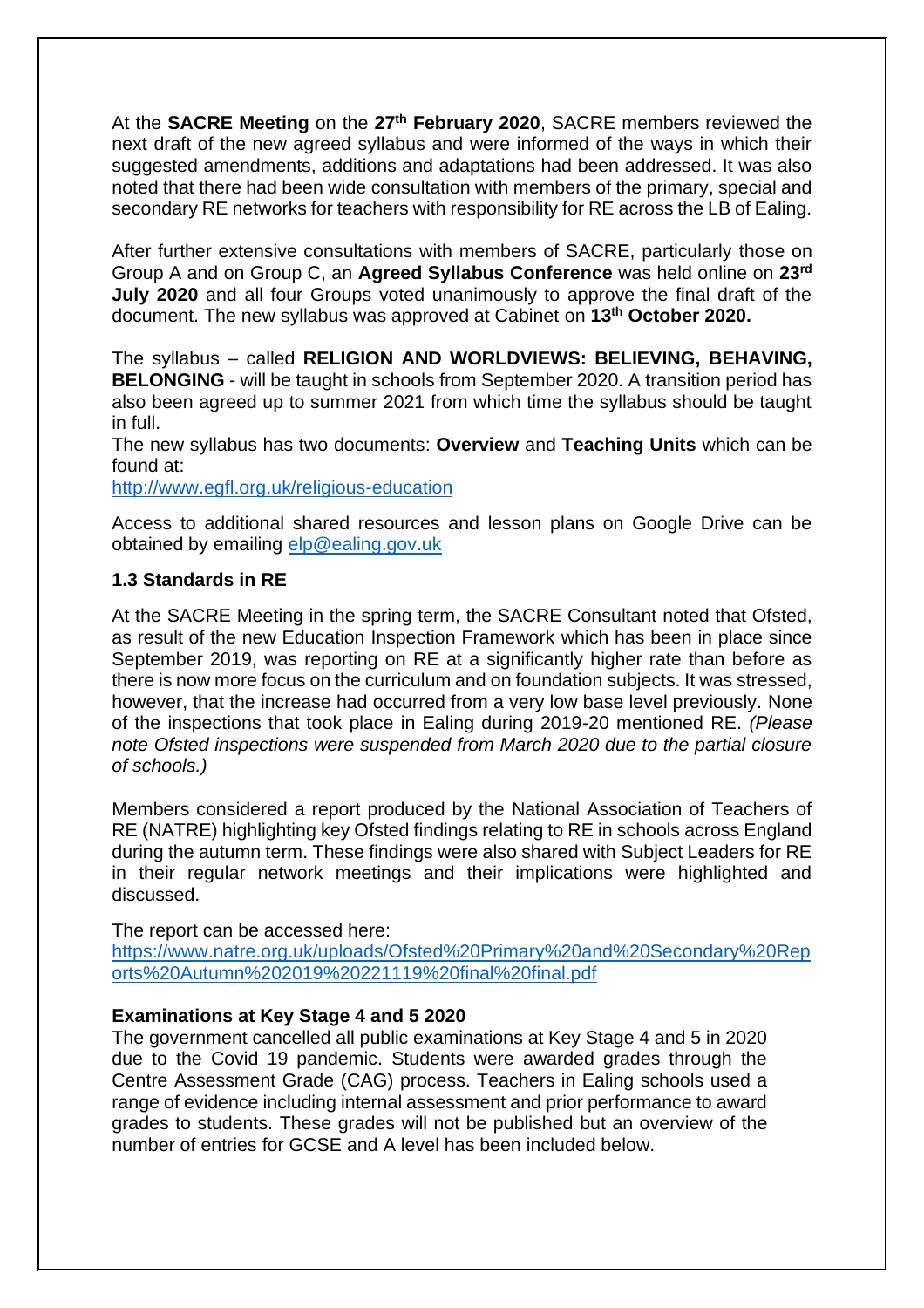At the **SACRE Meeting** on the 27<sup>th</sup> February 2020, SACRE members reviewed the next draft of the new agreed syllabus and were informed of the ways in which their suggested amendments, additions and adaptations had been addressed. It was also noted that there had been wide consultation with members of the primary, special and secondary RE networks for teachers with responsibility for RE across the LB of Ealing.

After further extensive consultations with members of SACRE, particularly those on Group A and on Group C, an **Agreed Syllabus Conference** was held online on **23rd July 2020** and all four Groups voted unanimously to approve the final draft of the document. The new syllabus was approved at Cabinet on **13th October 2020.**

The syllabus – called **RELIGION AND WORLDVIEWS: BELIEVING, BEHAVING, BELONGING** - will be taught in schools from September 2020. A transition period has also been agreed up to summer 2021 from which time the syllabus should be taught in full.

The new syllabus has two documents: **Overview** and **Teaching Units** which can be found at:

<http://www.egfl.org.uk/religious-education>

Access to additional shared resources and lesson plans on Google Drive can be obtained by emailing [elp@ealing.gov.uk](mailto:elp@ealing.gov.uk)

# **1.3 Standards in RE**

At the SACRE Meeting in the spring term, the SACRE Consultant noted that Ofsted, as result of the new Education Inspection Framework which has been in place since September 2019, was reporting on RE at a significantly higher rate than before as there is now more focus on the curriculum and on foundation subjects. It was stressed, however, that the increase had occurred from a very low base level previously. None of the inspections that took place in Ealing during 2019-20 mentioned RE. *(Please note Ofsted inspections were suspended from March 2020 due to the partial closure of schools.)*

Members considered a report produced by the National Association of Teachers of RE (NATRE) highlighting key Ofsted findings relating to RE in schools across England during the autumn term. These findings were also shared with Subject Leaders for RE in their regular network meetings and their implications were highlighted and discussed.

The report can be accessed here:

[https://www.natre.org.uk/uploads/Ofsted%20Primary%20and%20Secondary%20Rep](https://www.natre.org.uk/uploads/Ofsted%20Primary%20and%20Secondary%20Reports%20Autumn%202019%20221119%20final%20final.pdf) [orts%20Autumn%202019%20221119%20final%20final.pdf](https://www.natre.org.uk/uploads/Ofsted%20Primary%20and%20Secondary%20Reports%20Autumn%202019%20221119%20final%20final.pdf)

#### **Examinations at Key Stage 4 and 5 2020**

The government cancelled all public examinations at Key Stage 4 and 5 in 2020 due to the Covid 19 pandemic. Students were awarded grades through the Centre Assessment Grade (CAG) process. Teachers in Ealing schools used a range of evidence including internal assessment and prior performance to award grades to students. These grades will not be published but an overview of the number of entries for GCSE and A level has been included below.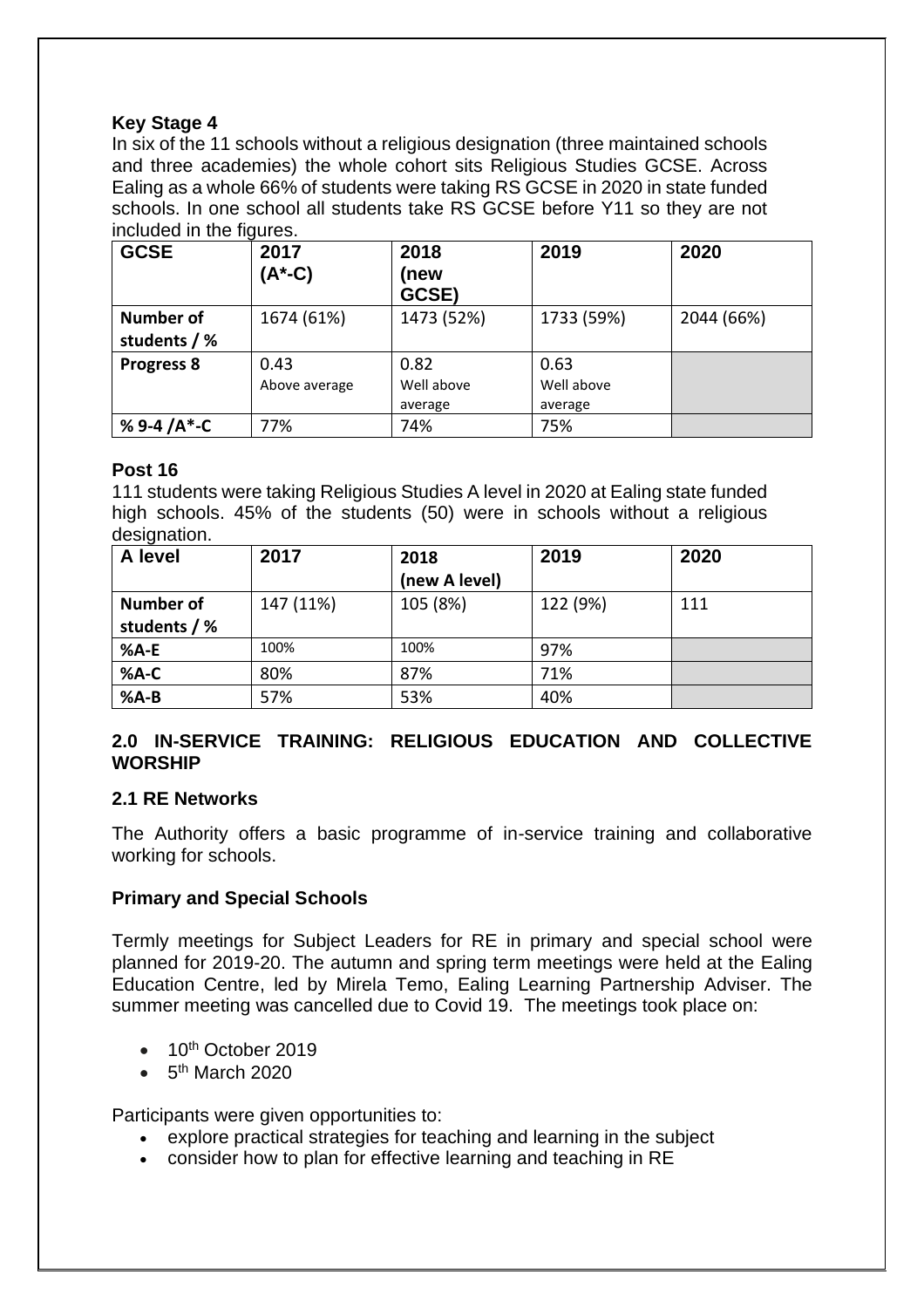# **Key Stage 4**

In six of the 11 schools without a religious designation (three maintained schools and three academies) the whole cohort sits Religious Studies GCSE. Across Ealing as a whole 66% of students were taking RS GCSE in 2020 in state funded schools. In one school all students take RS GCSE before Y11 so they are not included in the figures.

| <b>GCSE</b>                      | 2017<br>(A*-C)        | 2018<br>(new<br>GCSE)         | 2019                          | 2020       |
|----------------------------------|-----------------------|-------------------------------|-------------------------------|------------|
| <b>Number of</b><br>students / % | 1674 (61%)            | 1473 (52%)                    | 1733 (59%)                    | 2044 (66%) |
| <b>Progress 8</b>                | 0.43<br>Above average | 0.82<br>Well above<br>average | 0.63<br>Well above<br>average |            |
| % 9-4 $/A^*$ -C                  | 77%                   | 74%                           | 75%                           |            |

# **Post 16**

111 students were taking Religious Studies A level in 2020 at Ealing state funded high schools. 45% of the students (50) were in schools without a religious designation.

| A level          | 2017      | 2018          | 2019     | 2020 |
|------------------|-----------|---------------|----------|------|
|                  |           | (new A level) |          |      |
| <b>Number of</b> | 147 (11%) | 105 (8%)      | 122 (9%) | 111  |
| students / %     |           |               |          |      |
| %A-E             | 100%      | 100%          | 97%      |      |
| $%A-C$           | 80%       | 87%           | 71%      |      |
| $%A-B$           | 57%       | 53%           | 40%      |      |

# **2.0 IN-SERVICE TRAINING: RELIGIOUS EDUCATION AND COLLECTIVE WORSHIP**

#### **2.1 RE Networks**

The Authority offers a basic programme of in-service training and collaborative working for schools.

# **Primary and Special Schools**

Termly meetings for Subject Leaders for RE in primary and special school were planned for 2019-20. The autumn and spring term meetings were held at the Ealing Education Centre, led by Mirela Temo, Ealing Learning Partnership Adviser. The summer meeting was cancelled due to Covid 19. The meetings took place on:

- $\bullet$  10<sup>th</sup> October 2019
- $\bullet$  5<sup>th</sup> March 2020

Participants were given opportunities to:

- explore practical strategies for teaching and learning in the subject
- consider how to plan for effective learning and teaching in RE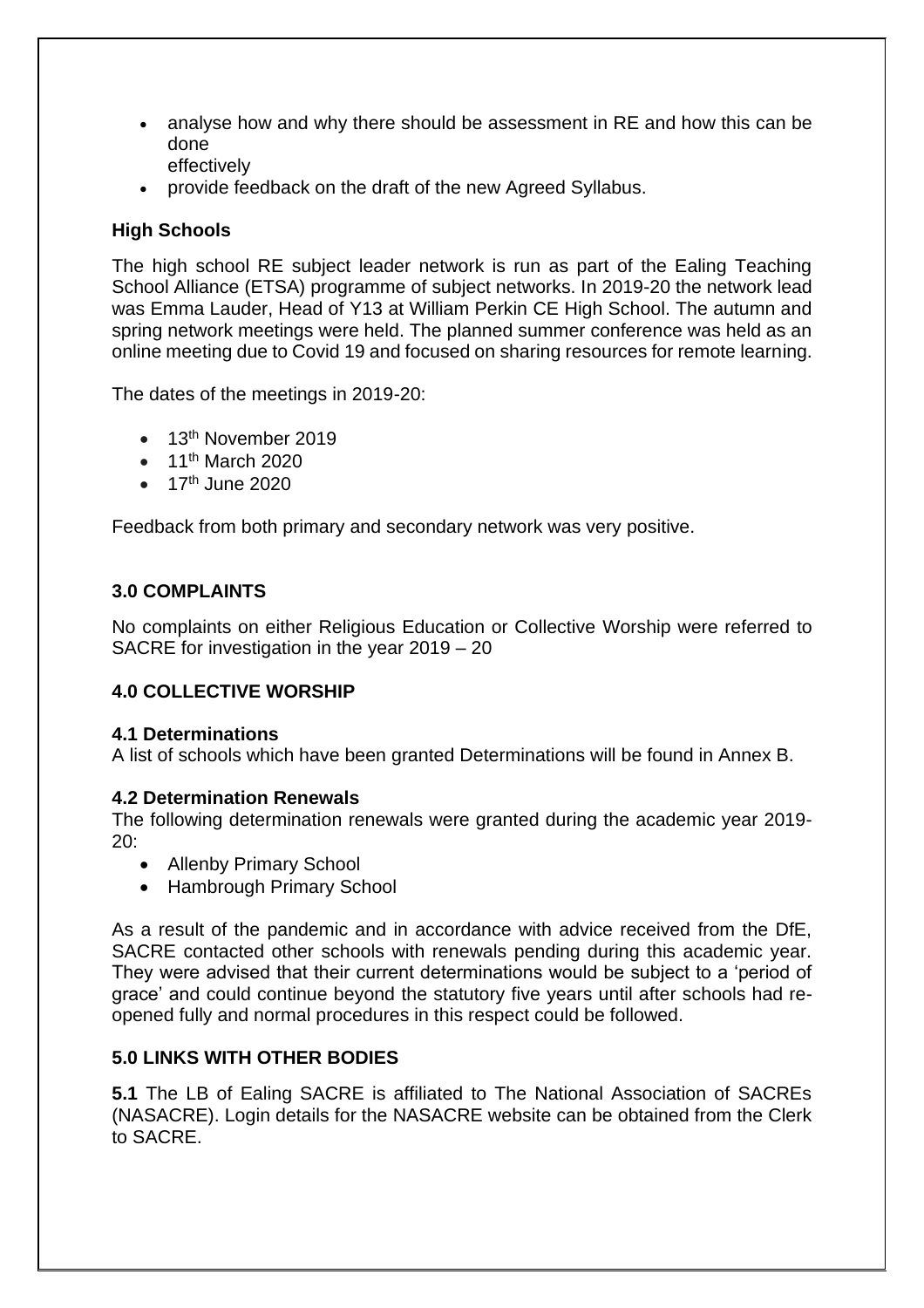- analyse how and why there should be assessment in RE and how this can be done effectively
- provide feedback on the draft of the new Agreed Syllabus.

# **High Schools**

The high school RE subject leader network is run as part of the Ealing Teaching School Alliance (ETSA) programme of subject networks. In 2019-20 the network lead was Emma Lauder, Head of Y13 at William Perkin CE High School. The autumn and spring network meetings were held. The planned summer conference was held as an online meeting due to Covid 19 and focused on sharing resources for remote learning.

The dates of the meetings in 2019-20:

- 13<sup>th</sup> November 2019
- $\bullet$  11<sup>th</sup> March 2020
- $\bullet$  17<sup>th</sup> June 2020

Feedback from both primary and secondary network was very positive.

# **3.0 COMPLAINTS**

No complaints on either Religious Education or Collective Worship were referred to SACRE for investigation in the year 2019 – 20

#### **4.0 COLLECTIVE WORSHIP**

#### **4.1 Determinations**

A list of schools which have been granted Determinations will be found in Annex B.

#### **4.2 Determination Renewals**

The following determination renewals were granted during the academic year 2019- 20:

- Allenby Primary School
- Hambrough Primary School

As a result of the pandemic and in accordance with advice received from the DfE, SACRE contacted other schools with renewals pending during this academic year. They were advised that their current determinations would be subject to a 'period of grace' and could continue beyond the statutory five years until after schools had reopened fully and normal procedures in this respect could be followed.

#### **5.0 LINKS WITH OTHER BODIES**

**5.1** The LB of Ealing SACRE is affiliated to The National Association of SACREs (NASACRE). Login details for the NASACRE website can be obtained from the Clerk to SACRE.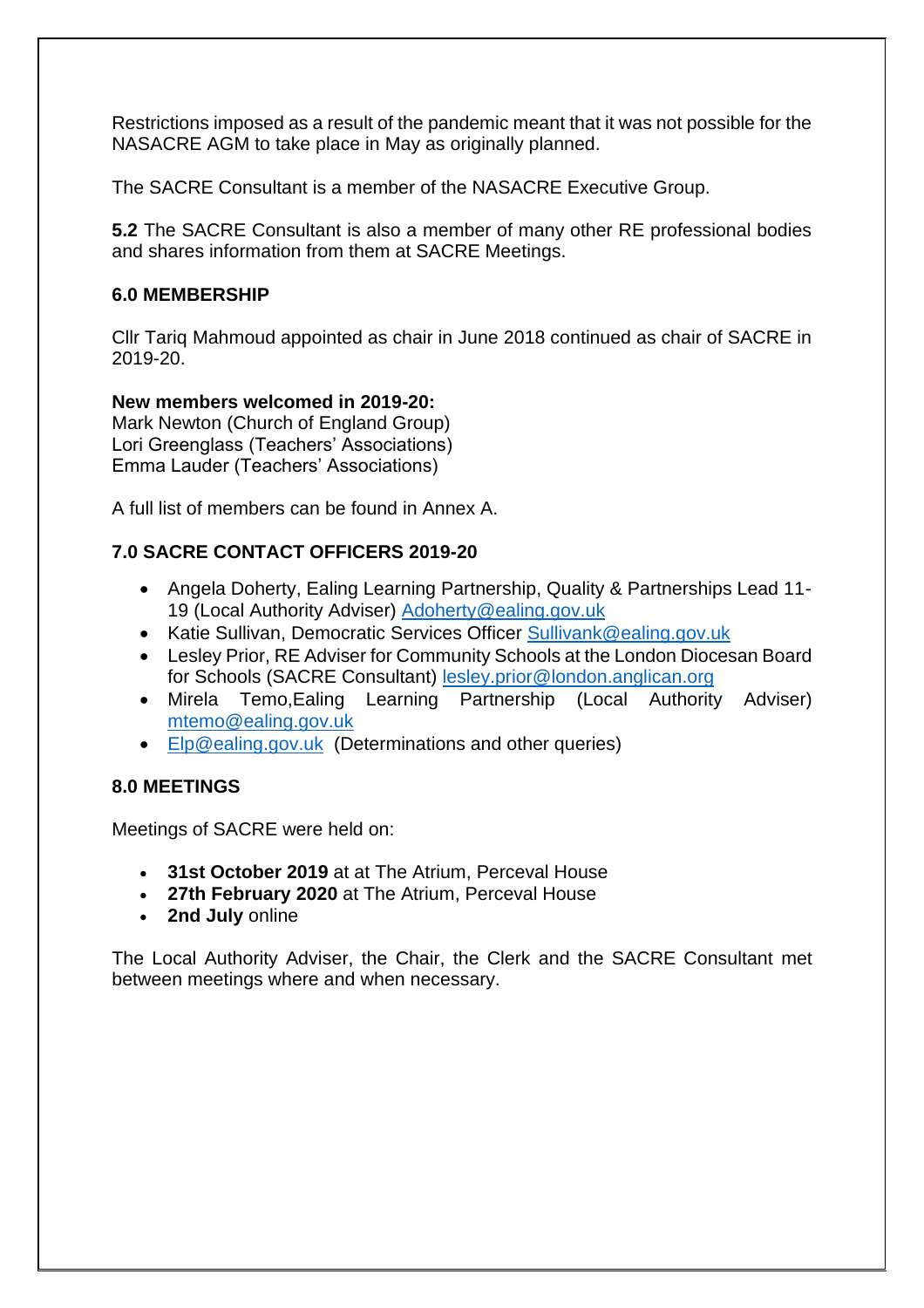Restrictions imposed as a result of the pandemic meant that it was not possible for the NASACRE AGM to take place in May as originally planned.

The SACRE Consultant is a member of the NASACRE Executive Group.

**5.2** The SACRE Consultant is also a member of many other RE professional bodies and shares information from them at SACRE Meetings.

#### **6.0 MEMBERSHIP**

Cllr Tariq Mahmoud appointed as chair in June 2018 continued as chair of SACRE in 2019-20.

# **New members welcomed in 2019-20:**

Mark Newton (Church of England Group) Lori Greenglass (Teachers' Associations) Emma Lauder (Teachers' Associations)

A full list of members can be found in Annex A.

# **7.0 SACRE CONTACT OFFICERS 2019-20**

- Angela Doherty, Ealing Learning Partnership, Quality & Partnerships Lead 11- 19 (Local Authority Adviser) [Adoherty@ealing.gov.uk](mailto:Adoherty@ealing.gov.uk)
- Katie Sullivan, Democratic Services Officer [Sullivank@ealing.gov.uk](mailto:Sullivank@ealing.gov.uk)
- Lesley Prior, RE Adviser for Community Schools at the London Diocesan Board for Schools (SACRE Consultant) [lesley.prior@london.anglican.org](mailto:lesley.prior@london.anglican.org)
- Mirela Temo,Ealing Learning Partnership (Local Authority Adviser) [mtemo@ealing.gov.uk](mailto:mtemo@ealing.gov.uk)
- [Elp@ealing.gov.uk](mailto:Elp@ealing.gov.uk) (Determinations and other queries)

# **8.0 MEETINGS**

Meetings of SACRE were held on:

- **31st October 2019** at at The Atrium, Perceval House
- **27th February 2020** at The Atrium, Perceval House
- **2nd July** online

The Local Authority Adviser, the Chair, the Clerk and the SACRE Consultant met between meetings where and when necessary.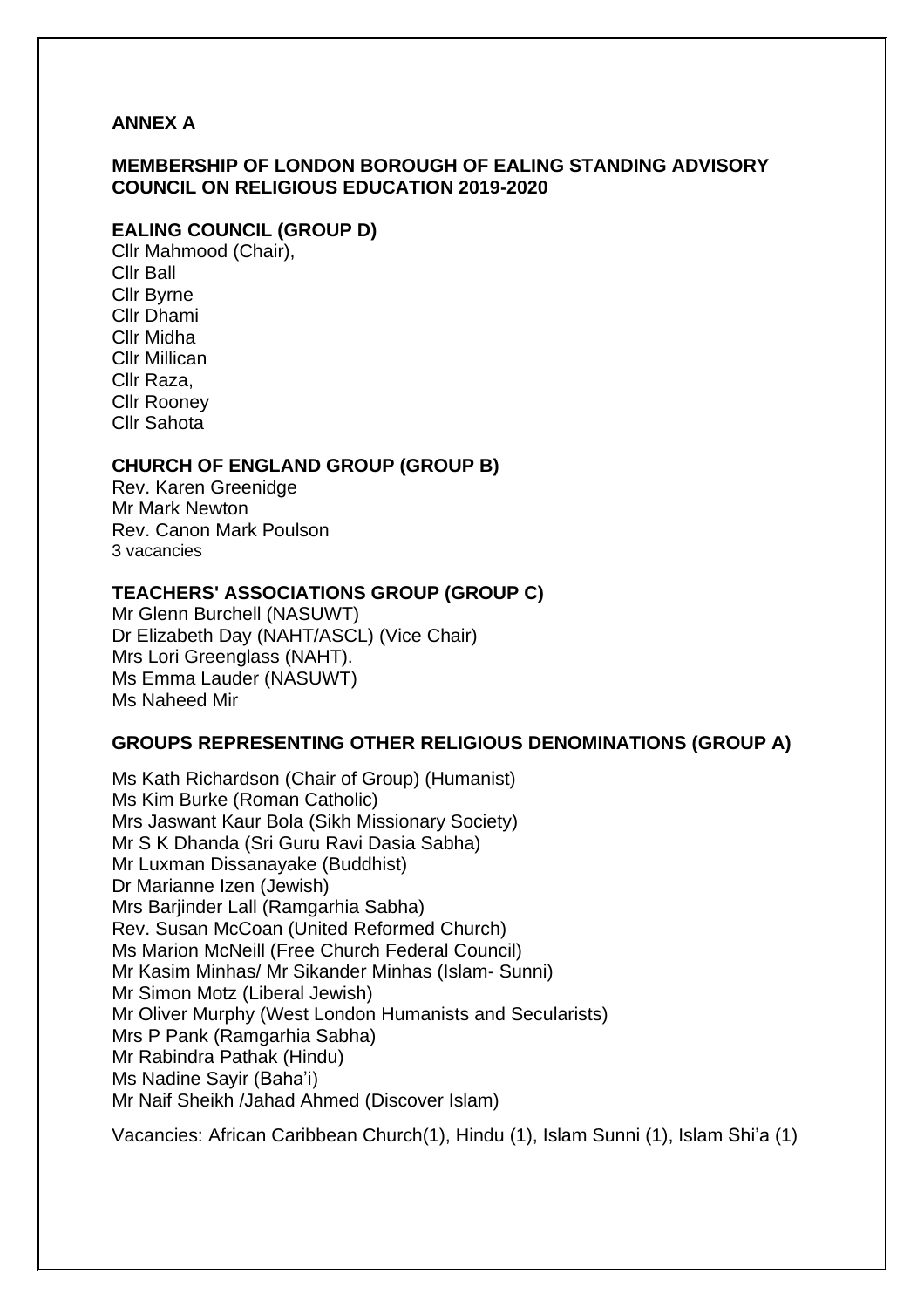#### **ANNEX A**

#### **MEMBERSHIP OF LONDON BOROUGH OF EALING STANDING ADVISORY COUNCIL ON RELIGIOUS EDUCATION 2019-2020**

#### **EALING COUNCIL (GROUP D)**

Cllr Mahmood (Chair), Cllr Ball Cllr Byrne Cllr Dhami Cllr Midha Cllr Millican Cllr Raza, Cllr Rooney Cllr Sahota

#### **CHURCH OF ENGLAND GROUP (GROUP B)**

Rev. Karen Greenidge Mr Mark Newton Rev. Canon Mark Poulson 3 vacancies

#### **TEACHERS' ASSOCIATIONS GROUP (GROUP C)**

Mr Glenn Burchell (NASUWT) Dr Elizabeth Day (NAHT/ASCL) (Vice Chair) Mrs Lori Greenglass (NAHT). Ms Emma Lauder (NASUWT) Ms Naheed Mir

#### **GROUPS REPRESENTING OTHER RELIGIOUS DENOMINATIONS (GROUP A)**

Ms Kath Richardson (Chair of Group) (Humanist) Ms Kim Burke (Roman Catholic) Mrs Jaswant Kaur Bola (Sikh Missionary Society) Mr S K Dhanda (Sri Guru Ravi Dasia Sabha) Mr Luxman Dissanayake (Buddhist) Dr Marianne Izen (Jewish) Mrs Barjinder Lall (Ramgarhia Sabha) Rev. Susan McCoan (United Reformed Church) Ms Marion McNeill (Free Church Federal Council) Mr Kasim Minhas/ Mr Sikander Minhas (Islam- Sunni) Mr Simon Motz (Liberal Jewish) Mr Oliver Murphy (West London Humanists and Secularists) Mrs P Pank (Ramgarhia Sabha) Mr Rabindra Pathak (Hindu) Ms Nadine Sayir (Baha'i) Mr Naif Sheikh /Jahad Ahmed (Discover Islam)

Vacancies: African Caribbean Church(1), Hindu (1), Islam Sunni (1), Islam Shi'a (1)